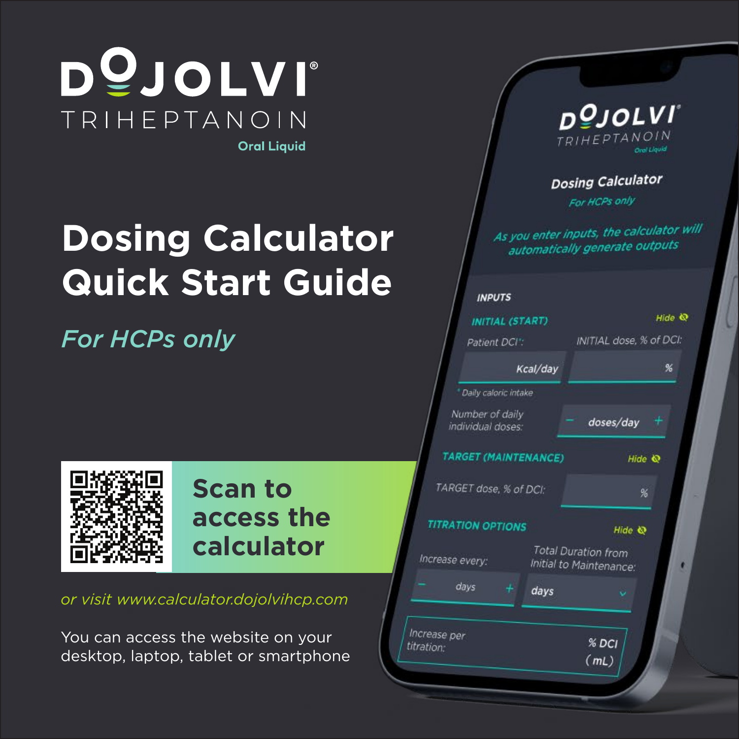

# **Dosing Calculator Quick Start Guide**

*For HCPs only*



#### **Scan to access the calculator**

*or visit www.calculator.dojolvihcp.com*

You can access the website on your desktop, laptop, tablet or smartphone

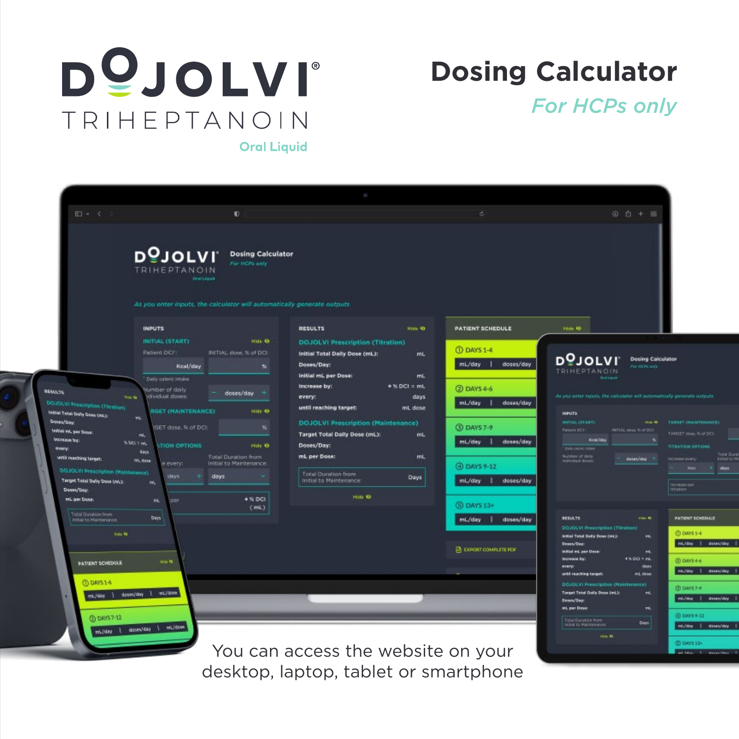

### **Dosing Calculator**

*For HCPs only*

**Oral Liquid** 



desktop, laptop, tablet or smartphone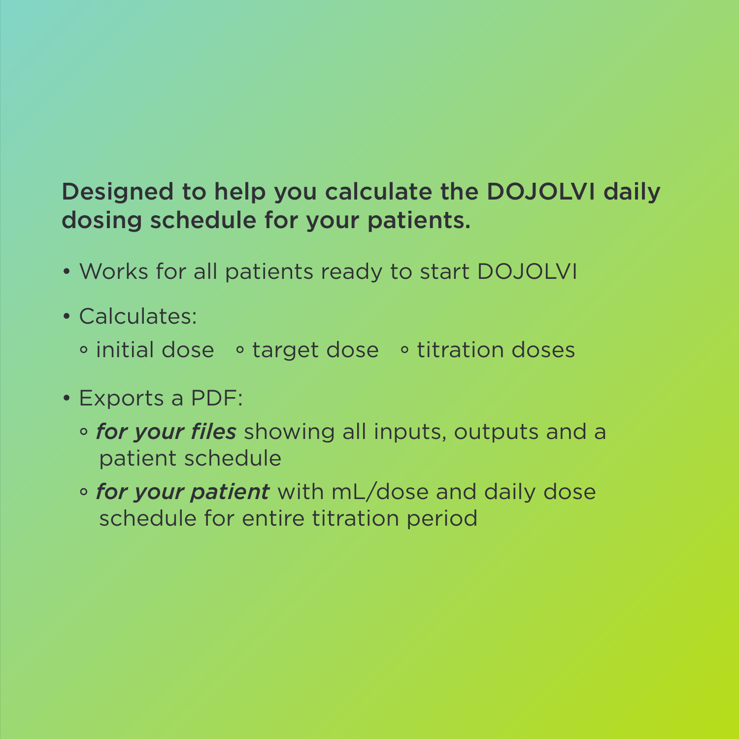#### Designed to help you calculate the DOJOLVI daily dosing schedule for your patients.

- Works for all patients ready to start DOJOLVI
- Calculates:
	- $\circ$  initial dose  $\circ$  target dose  $\circ$  titration doses
- Exports a PDF:
	- *for your files* showing all inputs, outputs and a patient schedule
	- *for your patient* with mL/dose and daily dose schedule for entire titration period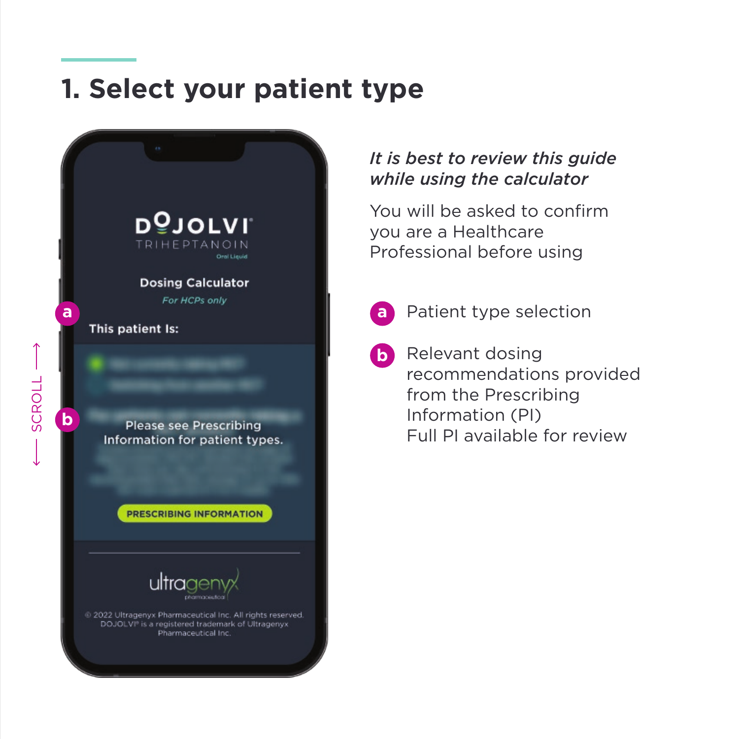#### **1. Select your patient type**



#### *It is best to review this guide while using the calculator*

You will be asked to confirm you are a Healthcare Professional before using

**a**

Patient type selection

**b** Relevant dosing recommendations provided from the Prescribing Information (PI) Full PI available for review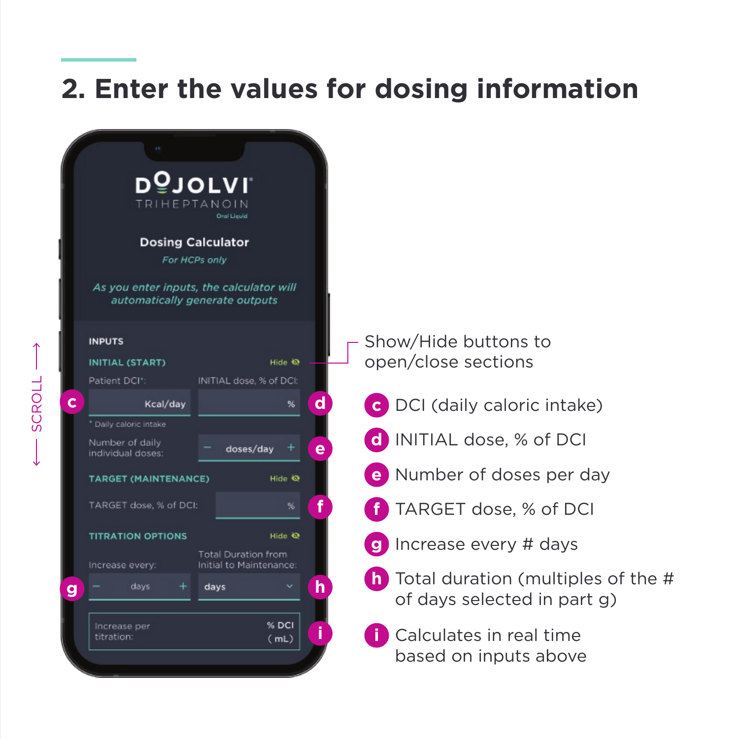## **2. Enter the values for dosing information**

|   | D일JOLVI<br>TRIHEPTAN<br><b>Dosing Calculator</b><br>For HCPs only<br>As you enter inputs, the calculator will<br>automatically generate outputs | Oral Liquid                                     |   |                                                                            |
|---|-------------------------------------------------------------------------------------------------------------------------------------------------|-------------------------------------------------|---|----------------------------------------------------------------------------|
|   | <b>INPUTS</b><br><b>INITIAL (START)</b><br>Patient DCI+:                                                                                        | Hide <sup>®</sup><br>INITIAL dose, % of DCI:    |   | Show/Hide buttons to<br>open/close sections                                |
| C | Kcal/day                                                                                                                                        | %                                               | d | C DCI (daily caloric intake)                                               |
|   | * Daily caloric intake<br>Number of daily<br>individual doses:                                                                                  | doses/day                                       | e | d INITIAL dose, % of DCI                                                   |
|   | <b>TARGET (MAINTENANCE)</b>                                                                                                                     | Hide <sup>O</sup>                               |   | e Number of doses per day                                                  |
|   | TARGET dose, % of DCI:                                                                                                                          | %                                               |   | TARGET dose, % of DCI                                                      |
|   | <b>TITRATION OPTIONS</b>                                                                                                                        | Hide <sup>O</sup><br><b>Total Duration from</b> |   | Increase every # days                                                      |
| g | Increase every:<br>days<br>÷                                                                                                                    | Initial to Maintenance:<br>days                 | h | <b>h</b> Total duration (multiples of the #<br>of days selected in part g) |
|   | Increase per<br>titration:                                                                                                                      | % DCI<br>(mL)                                   |   | Calculates in real time<br>based on inputs above                           |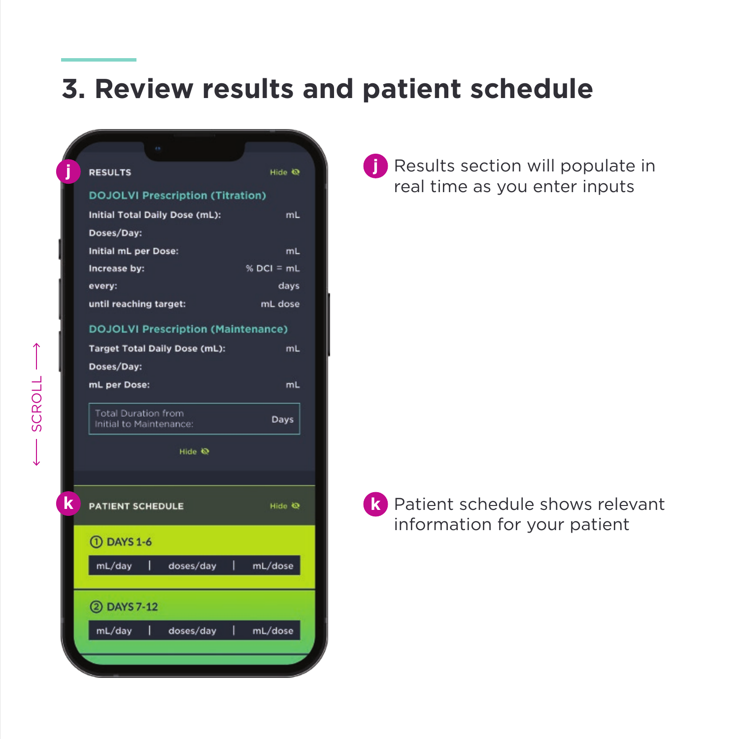#### **3. Review results and patient schedule**

| <b>RESULTS</b>                                        | Hide $Q$      |  |  |
|-------------------------------------------------------|---------------|--|--|
| <b>DOJOLVI Prescription (Titration)</b>               |               |  |  |
| Initial Total Daily Dose (mL):                        | mL            |  |  |
| Doses/Day:                                            |               |  |  |
| Initial mL per Dose:                                  | mL            |  |  |
| Increase by:                                          | $% DCI = mL$  |  |  |
| every:                                                | days          |  |  |
| until reaching target:                                | mL dose       |  |  |
| <b>DOJOLVI Prescription (Maintenance)</b>             |               |  |  |
| <b>Target Total Daily Dose (mL):</b>                  | mL            |  |  |
| Doses/Day:                                            |               |  |  |
| mL per Dose:                                          | mL            |  |  |
| <b>Total Duration from</b><br>Initial to Maintenance: | Days          |  |  |
| Hide <a></a>                                          |               |  |  |
|                                                       |               |  |  |
| <b>PATIENT SCHEDULE</b>                               | Hide Q        |  |  |
| 1. DAYS 1-6                                           |               |  |  |
| I<br>mL/day<br>doses/day                              | L<br>mL/dose  |  |  |
| 2 DAYS 7-12                                           |               |  |  |
| I<br>mL/day<br>doses/day                              | I.<br>mL/dose |  |  |
|                                                       |               |  |  |
|                                                       |               |  |  |
|                                                       |               |  |  |

**P** Results section will populate in real time as you enter inputs



Patient schedule shows relevant information for your patient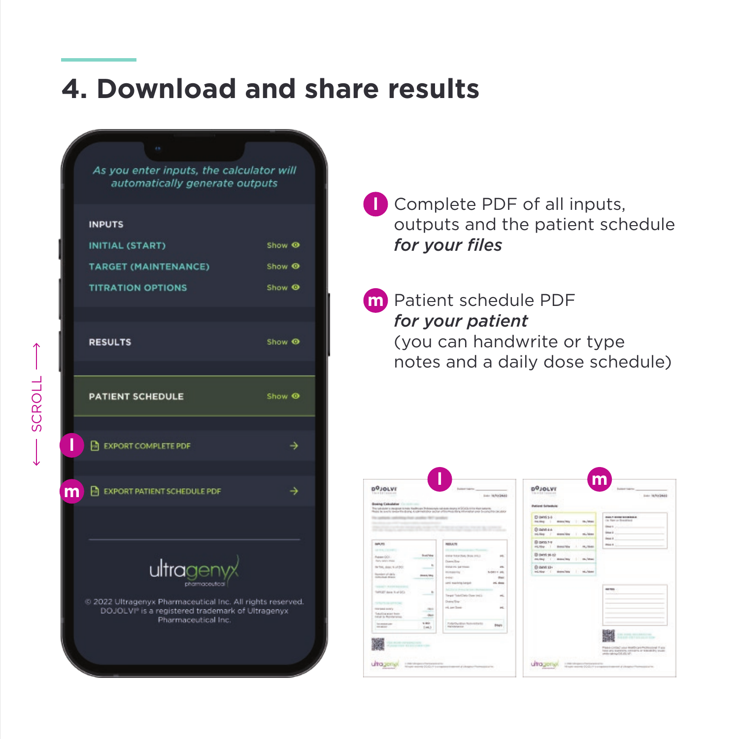#### **4. Download and share results**



**l** Complete PDF of all inputs, outputs and the patient schedule *for your files*

Patient schedule PDF **m** *for your patient* (you can handwrite or type notes and a daily dose schedule)